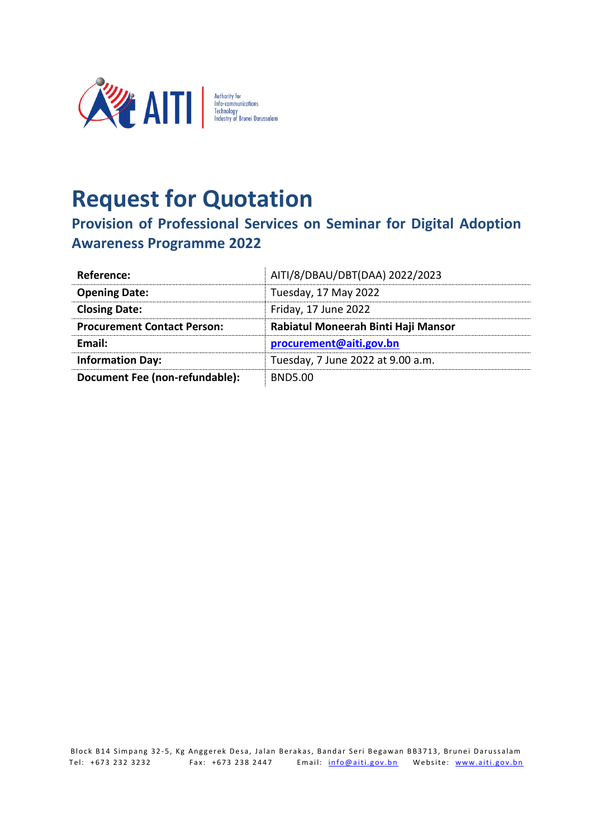

## **Request for Quotation**

**Provision of Professional Services on Seminar for Digital Adoption Awareness Programme 2022**

| Reference:                         | AITI/8/DBAU/DBT(DAA) 2022/2023      |
|------------------------------------|-------------------------------------|
| <b>Opening Date:</b>               | Tuesday, 17 May 2022                |
| <b>Closing Date:</b>               | Friday, 17 June 2022                |
| <b>Procurement Contact Person:</b> | Rabiatul Moneerah Binti Haji Mansor |
| <b>Fmail:</b>                      | procurement@aiti.gov.bn             |
| <b>Information Day:</b>            | Tuesday, 7 June 2022 at 9.00 a.m.   |
| Document Fee (non-refundable):     | <b>BND5.00</b>                      |